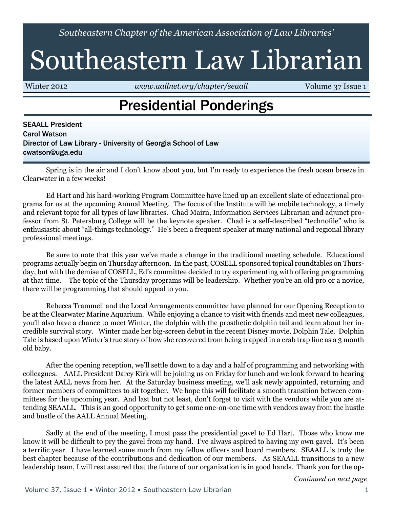*Southeastern Chapter of the American Association of Law Libraries'*

# Southeastern Law Librarian

Winter 2012 *<www.aallnet.org/chapter/seaall>* Volume 37 Issue 1

### Presidential Ponderings

SEAALL President Carol Watson Director of Law Library - University of Georgia School of Law [cwatson@uga.edu](mailto:cwatson@uga.edu)

Spring is in the air and I don't know about you, but I'm ready to experience the fresh ocean breeze in Clearwater in a few weeks!

Ed Hart and his hard-working Program Committee have lined up an excellent slate of educational programs for us at the upcoming Annual Meeting. The focus of the Institute will be mobile technology, a timely and relevant topic for all types of law libraries. Chad Mairn, Information Services Librarian and adjunct professor from St. Petersburg College will be the keynote speaker. Chad is a self-described "technofile" who is enthusiastic about "all-things technology." He's been a frequent speaker at many national and regional library professional meetings.

Be sure to note that this year we've made a change in the traditional meeting schedule. Educational programs actually begin on Thursday afternoon. In the past, COSELL sponsored topical roundtables on Thursday, but with the demise of COSELL, Ed's committee decided to try experimenting with offering programming at that time. The topic of the Thursday programs will be leadership. Whether you're an old pro or a novice, there will be programming that should appeal to you.

Rebecca Trammell and the Local Arrangements committee have planned for our Opening Reception to be at the Clearwater Marine Aquarium. While enjoying a chance to visit with friends and meet new colleagues, you'll also have a chance to meet Winter, the dolphin with the prosthetic dolphin tail and learn about her incredible survival story. Winter made her big-screen debut in the recent Disney movie, Dolphin Tale. Dolphin Tale is based upon Winter's true story of how she recovered from being trapped in a crab trap line as a 3 month old baby.

After the opening reception, we'll settle down to a day and a half of programming and networking with colleagues. AALL President Darcy Kirk will be joining us on Friday for lunch and we look forward to hearing the latest AALL news from her. At the Saturday business meeting, we'll ask newly appointed, returning and former members of committees to sit together. We hope this will facilitate a smooth transition between committees for the upcoming year. And last but not least, don't forget to visit with the vendors while you are attending SEAALL. This is an good opportunity to get some one-on-one time with vendors away from the hustle and bustle of the AALL Annual Meeting.

Sadly at the end of the meeting, I must pass the presidential gavel to Ed Hart. Those who know me know it will be difficult to pry the gavel from my hand. I've always aspired to having my own gavel. It's been a terrific year. I have learned some much from my fellow officers and board members. SEAALL is truly the best chapter because of the contributions and dedication of our members. As SEAALL transitions to a new leadership team, I will rest assured that the future of our organization is in good hands. Thank you for the op-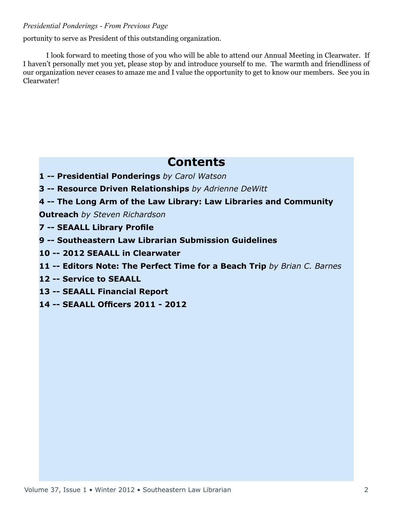#### *Presidential Ponderings - From Previous Page*

portunity to serve as President of this outstanding organization.

I look forward to meeting those of you who will be able to attend our Annual Meeting in Clearwater. If I haven't personally met you yet, please stop by and introduce yourself to me. The warmth and friendliness of our organization never ceases to amaze me and I value the opportunity to get to know our members. See you in Clearwater!

### **Contents**

- **1 -- Presidential Ponderings** *by Carol Watson*
- **3 -- Resource Driven Relationships** *by Adrienne DeWitt*
- **4 -- The Long Arm of the Law Library: Law Libraries and Community**

**Outreach** *by Steven Richardson*

- **7 -- SEAALL Library Profile**
- **9 -- Southeastern Law Librarian Submission Guidelines**
- **10 -- 2012 SEAALL in Clearwater**
- **11 -- Editors Note: The Perfect Time for a Beach Trip** *by Brian C. Barnes*
- **12 -- Service to SEAALL**
- **13 -- SEAALL Financial Report**
- **14 -- SEAALL Officers 2011 2012**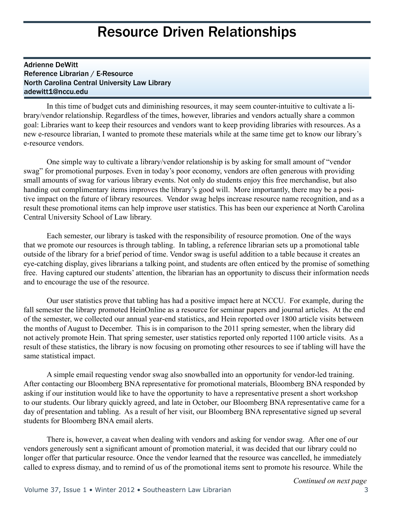### Resource Driven Relationships

### Adrienne DeWitt Reference Librarian / E-Resource North Carolina Central University Law Library adewitt1@nccu.edu

In this time of budget cuts and diminishing resources, it may seem counter-intuitive to cultivate a library/vendor relationship. Regardless of the times, however, libraries and vendors actually share a common goal: Libraries want to keep their resources and vendors want to keep providing libraries with resources. As a new e-resource librarian, I wanted to promote these materials while at the same time get to know our library's e-resource vendors.

One simple way to cultivate a library/vendor relationship is by asking for small amount of "vendor swag" for promotional purposes. Even in today's poor economy, vendors are often generous with providing small amounts of swag for various library events. Not only do students enjoy this free merchandise, but also handing out complimentary items improves the library's good will. More importantly, there may be a positive impact on the future of library resources. Vendor swag helps increase resource name recognition, and as a result these promotional items can help improve user statistics. This has been our experience at North Carolina Central University School of Law library.

Each semester, our library is tasked with the responsibility of resource promotion. One of the ways that we promote our resources is through tabling. In tabling, a reference librarian sets up a promotional table outside of the library for a brief period of time. Vendor swag is useful addition to a table because it creates an eye-catching display, gives librarians a talking point, and students are often enticed by the promise of something free. Having captured our students' attention, the librarian has an opportunity to discuss their information needs and to encourage the use of the resource.

Our user statistics prove that tabling has had a positive impact here at NCCU. For example, during the fall semester the library promoted HeinOnline as a resource for seminar papers and journal articles. At the end of the semester, we collected our annual year-end statistics, and Hein reported over 1800 article visits between the months of August to December. This is in comparison to the 2011 spring semester, when the library did not actively promote Hein. That spring semester, user statistics reported only reported 1100 article visits. As a result of these statistics, the library is now focusing on promoting other resources to see if tabling will have the same statistical impact.

A simple email requesting vendor swag also snowballed into an opportunity for vendor-led training. After contacting our Bloomberg BNA representative for promotional materials, Bloomberg BNA responded by asking if our institution would like to have the opportunity to have a representative present a short workshop to our students. Our library quickly agreed, and late in October, our Bloomberg BNA representative came for a day of presentation and tabling. As a result of her visit, our Bloomberg BNA representative signed up several students for Bloomberg BNA email alerts.

There is, however, a caveat when dealing with vendors and asking for vendor swag. After one of our vendors generously sent a significant amount of promotion material, it was decided that our library could no longer offer that particular resource. Once the vendor learned that the resource was cancelled, he immediately called to express dismay, and to remind of us of the promotional items sent to promote his resource. While the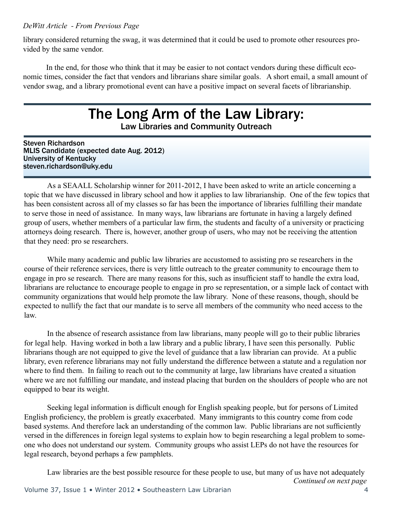#### *DeWitt Article - From Previous Page*

library considered returning the swag, it was determined that it could be used to promote other resources provided by the same vendor.

In the end, for those who think that it may be easier to not contact vendors during these difficult economic times, consider the fact that vendors and librarians share similar goals. A short email, a small amount of vendor swag, and a library promotional event can have a positive impact on several facets of librarianship.

# The Long Arm of the Law Library:

Law Libraries and Community Outreach

Steven Richardson MLIS Candidate (expected date Aug. 2012) University of Kentucky steven.richardson@uky.edu

As a SEAALL Scholarship winner for 2011-2012, I have been asked to write an article concerning a topic that we have discussed in library school and how it applies to law librarianship. One of the few topics that has been consistent across all of my classes so far has been the importance of libraries fulfilling their mandate to serve those in need of assistance. In many ways, law librarians are fortunate in having a largely defined group of users, whether members of a particular law firm, the students and faculty of a university or practicing attorneys doing research. There is, however, another group of users, who may not be receiving the attention that they need: pro se researchers.

While many academic and public law libraries are accustomed to assisting pro se researchers in the course of their reference services, there is very little outreach to the greater community to encourage them to engage in pro se research. There are many reasons for this, such as insufficient staff to handle the extra load, librarians are reluctance to encourage people to engage in pro se representation, or a simple lack of contact with community organizations that would help promote the law library. None of these reasons, though, should be expected to nullify the fact that our mandate is to serve all members of the community who need access to the law.

In the absence of research assistance from law librarians, many people will go to their public libraries for legal help. Having worked in both a law library and a public library, I have seen this personally. Public librarians though are not equipped to give the level of guidance that a law librarian can provide. At a public library, even reference librarians may not fully understand the difference between a statute and a regulation nor where to find them. In failing to reach out to the community at large, law librarians have created a situation where we are not fulfilling our mandate, and instead placing that burden on the shoulders of people who are not equipped to bear its weight.

Seeking legal information is difficult enough for English speaking people, but for persons of Limited English proficiency, the problem is greatly exacerbated. Many immigrants to this country come from code based systems. And therefore lack an understanding of the common law. Public librarians are not sufficiently versed in the differences in foreign legal systems to explain how to begin researching a legal problem to someone who does not understand our system. Community groups who assist LEPs do not have the resources for legal research, beyond perhaps a few pamphlets.

*Continued on next page* Law libraries are the best possible resource for these people to use, but many of us have not adequately Volume 37, Issue 1 • Winter 2012 • Southeastern Law Librarian 4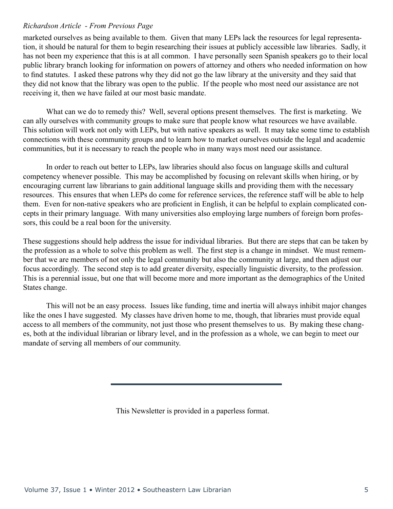#### *Richardson Article - From Previous Page*

marketed ourselves as being available to them. Given that many LEPs lack the resources for legal representation, it should be natural for them to begin researching their issues at publicly accessible law libraries. Sadly, it has not been my experience that this is at all common. I have personally seen Spanish speakers go to their local public library branch looking for information on powers of attorney and others who needed information on how to find statutes. I asked these patrons why they did not go the law library at the university and they said that they did not know that the library was open to the public. If the people who most need our assistance are not receiving it, then we have failed at our most basic mandate.

What can we do to remedy this? Well, several options present themselves. The first is marketing. We can ally ourselves with community groups to make sure that people know what resources we have available. This solution will work not only with LEPs, but with native speakers as well. It may take some time to establish connections with these community groups and to learn how to market ourselves outside the legal and academic communities, but it is necessary to reach the people who in many ways most need our assistance.

In order to reach out better to LEPs, law libraries should also focus on language skills and cultural competency whenever possible. This may be accomplished by focusing on relevant skills when hiring, or by encouraging current law librarians to gain additional language skills and providing them with the necessary resources. This ensures that when LEPs do come for reference services, the reference staff will be able to help them. Even for non-native speakers who are proficient in English, it can be helpful to explain complicated concepts in their primary language. With many universities also employing large numbers of foreign born professors, this could be a real boon for the university.

These suggestions should help address the issue for individual libraries. But there are steps that can be taken by the profession as a whole to solve this problem as well. The first step is a change in mindset. We must remember that we are members of not only the legal community but also the community at large, and then adjust our focus accordingly. The second step is to add greater diversity, especially linguistic diversity, to the profession. This is a perennial issue, but one that will become more and more important as the demographics of the United States change.

This will not be an easy process. Issues like funding, time and inertia will always inhibit major changes like the ones I have suggested. My classes have driven home to me, though, that libraries must provide equal access to all members of the community, not just those who present themselves to us. By making these changes, both at the individual librarian or library level, and in the profession as a whole, we can begin to meet our mandate of serving all members of our community.

This Newsletter is provided in a paperless format.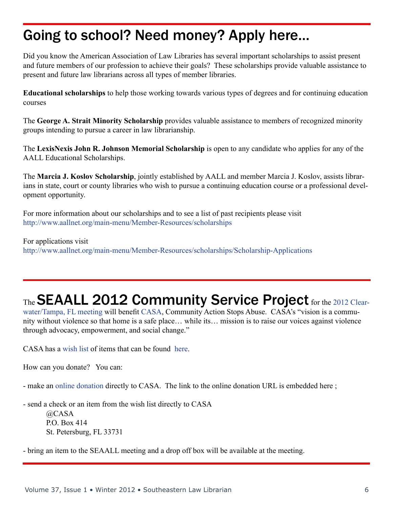# Going to school? Need money? Apply here…

Did you know the American Association of Law Libraries has several important scholarships to assist present and future members of our profession to achieve their goals? These scholarships provide valuable assistance to present and future law librarians across all types of member libraries.

**Educational scholarships** to help those working towards various types of degrees and for continuing education courses

The **George A. Strait Minority Scholarship** provides valuable assistance to members of recognized minority groups intending to pursue a career in law librarianship.

The **LexisNexis John R. Johnson Memorial Scholarship** is open to any candidate who applies for any of the AALL Educational Scholarships.

The **Marcia J. Koslov Scholarship**, jointly established by AALL and member Marcia J. Koslov, assists librarians in state, court or county libraries who wish to pursue a continuing education course or a professional development opportunity.

For more information about our scholarships and to see a list of past recipients please visit <http://www.aallnet.org/main-menu/Member-Resources/scholarships>

For applications visit <http://www.aallnet.org/main-menu/Member-Resources/scholarships/Scholarship-Applications>

# The SEAALL 2012 Community Service Project for the [2012 Clear-](http://www.law.stetson.edu/library/seaall.php)

[water/Tampa, FL meeting](http://www.law.stetson.edu/library/seaall.php) will benefit [CASA](http://www.casa-stpete.org/missionhistory.htm), Community Action Stops Abuse. CASA's "vision is a community without violence so that home is a safe place… while its… mission is to raise our voices against violence through advocacy, empowerment, and social change."

CASA has a [wish list](http://www.casa-stpete.org/wishlist.htm) of items that can be found [here.](http://www.casa-stpete.org/wishlist.htm)

How can you donate? You can:

- make an [online donation](https://dnbweb1.blackbaud.com/OPXDONATE/AddDonor.asp?cguid=959F8AFD%2DBCEC%2D4948%2D9B7B%2DFC8C28050454&sTarget=https%3A%2F%2Fdnbweb1%2Eblackbaud%2Ecom%2FOPXDONATE%2Fdonate%2Easp%3Fcguid%3D959F8AFD%252DBCEC%252D4948%252D9B7B%252DFC8C28050454%26dpid%3D18293&sid=0F2E003E%2DCB85%2D4BCB%2D8453%2D74B06000C5F9) directly to CASA. The link to the online donation URL is embedded here ;

- send a check or an item from the wish list directly to CASA @CASA P.O. Box 414 St. Petersburg, FL 33731

- bring an item to the SEAALL meeting and a drop off box will be available at the meeting.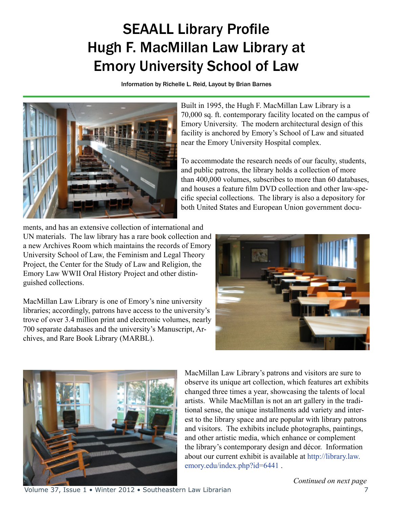# SEAALL Library Profile Hugh F. MacMillan Law Library at Emory University School of Law

Information by Richelle L. Reid, Layout by Brian Barnes



Built in 1995, the Hugh F. MacMillan Law Library is a 70,000 sq. ft. contemporary facility located on the campus of Emory University. The modern architectural design of this facility is anchored by Emory's School of Law and situated near the Emory University Hospital complex.

To accommodate the research needs of our faculty, students, and public patrons, the library holds a collection of more than 400,000 volumes, subscribes to more than 60 databases, and houses a feature film DVD collection and other law-specific special collections. The library is also a depository for both United States and European Union government docu-

ments, and has an extensive collection of international and UN materials. The law library has a rare book collection and a new Archives Room which maintains the records of Emory University School of Law, the Feminism and Legal Theory Project, the Center for the Study of Law and Religion, the Emory Law WWII Oral History Project and other distinguished collections.

MacMillan Law Library is one of Emory's nine university libraries; accordingly, patrons have access to the university's trove of over 3.4 million print and electronic volumes, nearly 700 separate databases and the university's Manuscript, Archives, and Rare Book Library (MARBL).





MacMillan Law Library's patrons and visitors are sure to observe its unique art collection, which features art exhibits changed three times a year, showcasing the talents of local artists. While MacMillan is not an art gallery in the traditional sense, the unique installments add variety and interest to the library space and are popular with library patrons and visitors. The exhibits include photographs, paintings, and other artistic media, which enhance or complement the library's contemporary design and décor. Information about our current exhibit is available at [http://library.law.](http://library.law.emory.edu/index.php?id=6441) [emory.edu/index.php?id=6441](http://library.law.emory.edu/index.php?id=6441) .

Volume 37, Issue 1 • Winter 2012 • Southeastern Law Librarian 7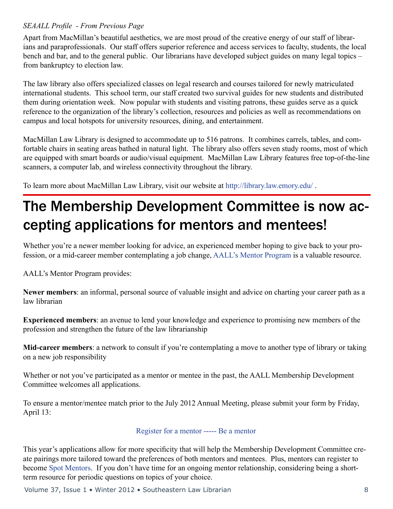### *SEAALL Profile - From Previous Page*

Apart from MacMillan's beautiful aesthetics, we are most proud of the creative energy of our staff of librarians and paraprofessionals. Our staff offers superior reference and access services to faculty, students, the local bench and bar, and to the general public. Our librarians have developed subject guides on many legal topics – from bankruptcy to election law.

The law library also offers specialized classes on legal research and courses tailored for newly matriculated international students. This school term, our staff created two survival guides for new students and distributed them during orientation week. Now popular with students and visiting patrons, these guides serve as a quick reference to the organization of the library's collection, resources and policies as well as recommendations on campus and local hotspots for university resources, dining, and entertainment.

MacMillan Law Library is designed to accommodate up to 516 patrons. It combines carrels, tables, and comfortable chairs in seating areas bathed in natural light. The library also offers seven study rooms, most of which are equipped with smart boards or audio/visual equipment. MacMillan Law Library features free top-of-the-line scanners, a computer lab, and wireless connectivity throughout the library.

To learn more about MacMillan Law Library, visit our website at <http://library.law.emory.edu/>.

# The Membership Development Committee is now accepting applications for mentors and mentees!

Whether you're a newer member looking for advice, an experienced member hoping to give back to your profession, or a mid-career member contemplating a job change, [AALL's Mentor Program](http://www.aallnet.org/main-menu/Member-Resources/Mentoring) is a valuable resource.

AALL's Mentor Program provides:

**Newer members**: an informal, personal source of valuable insight and advice on charting your career path as a law librarian

**Experienced members**: an avenue to lend your knowledge and experience to promising new members of the profession and strengthen the future of the law librarianship

**Mid-career members**: a network to consult if you're contemplating a move to another type of library or taking on a new job responsibility

Whether or not you've participated as a mentor or mentee in the past, the AALL Membership Development Committee welcomes all applications.

To ensure a mentor/mentee match prior to the July 2012 Annual Meeting, please submit your form by Friday, April 13:

### [Register for a mentor](http://www.aallnet.org/main-menu/Member-Resources/Mentoring/mentee.html) ----- [Be a mentor](http://www.aallnet.org/main-menu/Member-Resources/Mentoring/mentor.html)

This year's applications allow for more specificity that will help the Membership Development Committee create pairings more tailored toward the preferences of both mentors and mentees. Plus, mentors can register to become [Spot Mentors](http://www.aallnet.org/main-menu/Member-Resources/Mentoring/spotmentor.html). If you don't have time for an ongoing mentor relationship, considering being a shortterm resource for periodic questions on topics of your choice.

Volume 37, Issue 1 • Winter 2012 • Southeastern Law Librarian 8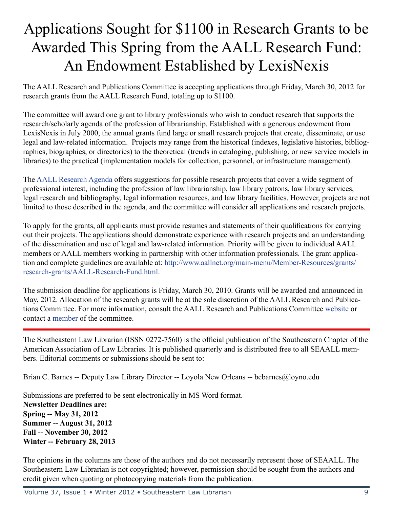# Applications Sought for \$1100 in Research Grants to be Awarded This Spring from the AALL Research Fund: An Endowment Established by LexisNexis

The AALL Research and Publications Committee is accepting applications through Friday, March 30, 2012 for research grants from the AALL Research Fund, totaling up to \$1100.

The committee will award one grant to library professionals who wish to conduct research that supports the research/scholarly agenda of the profession of librarianship. Established with a generous endowment from LexisNexis in July 2000, the annual grants fund large or small research projects that create, disseminate, or use legal and law-related information. Projects may range from the historical (indexes, legislative histories, bibliographies, biographies, or directories) to the theoretical (trends in cataloging, publishing, or new service models in libraries) to the practical (implementation models for collection, personnel, or infrastructure management).

The [AALL Research Agenda](http://www.aallnet.org/main-menu/Member-Resources/grants/research-grants/research-agenda.html) offers suggestions for possible research projects that cover a wide segment of professional interest, including the profession of law librarianship, law library patrons, law library services, legal research and bibliography, legal information resources, and law library facilities. However, projects are not limited to those described in the agenda, and the committee will consider all applications and research projects.

To apply for the grants, all applicants must provide resumes and statements of their qualifications for carrying out their projects. The applications should demonstrate experience with research projects and an understanding of the dissemination and use of legal and law-related information. Priority will be given to individual AALL members or AALL members working in partnership with other information professionals. The grant application and complete guidelines are available at: [http://www.aallnet.org/main-menu/Member-Resources/grants/](http://www.aallnet.org/main-menu/Member-Resources/grants/research-grants/AALL-Research-Fund.html) [research-grants/AALL-Research-Fund.html](http://www.aallnet.org/main-menu/Member-Resources/grants/research-grants/AALL-Research-Fund.html).

The submission deadline for applications is Friday, March 30, 2010. Grants will be awarded and announced in May, 2012. Allocation of the research grants will be at the sole discretion of the AALL Research and Publications Committee. For more information, consult the AALL Research and Publications Committee [website](http://www.aallnet.org/main-menu/Leadership-Governance/committee/activecmtes/researchpub.html) or contact a [member](http://www.aallnet.org/assn/Committees.aspx?code=COM_RESPUB) of the committee.

The Southeastern Law Librarian (ISSN 0272-7560) is the official publication of the Southeastern Chapter of the American Association of Law Libraries. It is published quarterly and is distributed free to all SEAALL members. Editorial comments or submissions should be sent to:

Brian C. Barnes -- Deputy Law Library Director -- Loyola New Orleans -- bcbarnes@loyno.edu

Submissions are preferred to be sent electronically in MS Word format. **Newsletter Deadlines are: Spring -- May 31, 2012 Summer -- August 31, 2012 Fall -- November 30, 2012 Winter -- February 28, 2013**

The opinions in the columns are those of the authors and do not necessarily represent those of SEAALL. The Southeastern Law Librarian is not copyrighted; however, permission should be sought from the authors and credit given when quoting or photocopying materials from the publication.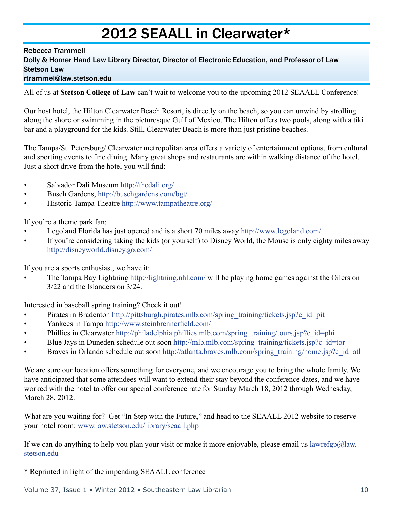# 2012 SEAALL in Clearwater\*

#### Rebecca Trammell

Dolly & Homer Hand Law Library Director, Director of Electronic Education, and Professor of Law Stetson Law

### rtrammel@law.stetson.edu

All of us at **Stetson College of Law** can't wait to welcome you to the upcoming 2012 SEAALL Conference!

Our host hotel, the Hilton Clearwater Beach Resort, is directly on the beach, so you can unwind by strolling along the shore or swimming in the picturesque Gulf of Mexico. The Hilton offers two pools, along with a tiki bar and a playground for the kids. Still, Clearwater Beach is more than just pristine beaches.

The Tampa/St. Petersburg/ Clearwater metropolitan area offers a variety of entertainment options, from cultural and sporting events to fine dining. Many great shops and restaurants are within walking distance of the hotel. Just a short drive from the hotel you will find:

- Salvador Dali Museum [http://thedali.org/](http://thedali.org)
- Busch Gardens, http://buschgardens.com/bgt/
- Historic Tampa Theatre http://www.tampatheatre.org/

If you're a theme park fan:

- Legoland Florida has just opened and is a short 70 miles away http://www.legoland.com/
- If you're considering taking the kids (or yourself) to Disney World, the Mouse is only eighty miles away http://disneyworld.disney.go.com/

If you are a sports enthusiast, we have it:

• The Tampa Bay Lightning http://lightning.nhl.com/ will be playing home games against the Oilers on 3/22 and the Islanders on 3/24.

Interested in baseball spring training? Check it out!

- Pirates in Bradenton http://pittsburgh.pirates.mlb.com/spring\_training/tickets.jsp?c\_id=pit
- Yankees in Tampa http://www.steinbrennerfield.com/
- Phillies in Clearwater http://philadelphia.phillies.mlb.com/spring\_training/tours.jsp?c\_id=phi
- Blue Jays in Duneden schedule out soon http://mlb.mlb.com/spring\_training/tickets.jsp?c\_id=tor
- Braves in Orlando schedule out soon http://atlanta.braves.mlb.com/spring\_training/home.jsp?c\_id=atl

We are sure our location offers something for everyone, and we encourage you to bring the whole family. We have anticipated that some attendees will want to extend their stay beyond the conference dates, and we have worked with the hotel to offer our special conference rate for Sunday March 18, 2012 through Wednesday, March 28, 2012.

What are you waiting for? Get "In Step with the Future," and head to the SEAALL 2012 website to reserve your hotel room: www.law.stetson.edu/library/seaall.php

If we can do anything to help you plan your visit or make it more enjoyable, please email us lawrefgp@law. stetson.edu

\* Reprinted in light of the impending SEAALL conference

Volume 37, Issue 1 • Winter 2012 • Southeastern Law Librarian 10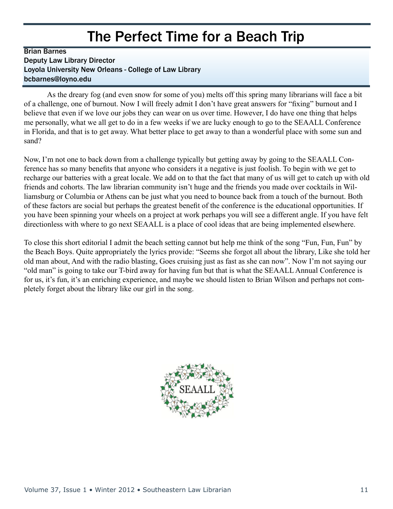### The Perfect Time for a Beach Trip

### Brian Barnes Deputy Law Library Director Loyola University New Orleans - College of Law Library bcbarnes@loyno.edu

As the dreary fog (and even snow for some of you) melts off this spring many librarians will face a bit of a challenge, one of burnout. Now I will freely admit I don't have great answers for "fixing" burnout and I believe that even if we love our jobs they can wear on us over time. However, I do have one thing that helps me personally, what we all get to do in a few weeks if we are lucky enough to go to the SEAALL Conference in Florida, and that is to get away. What better place to get away to than a wonderful place with some sun and sand?

Now, I'm not one to back down from a challenge typically but getting away by going to the SEAALL Conference has so many benefits that anyone who considers it a negative is just foolish. To begin with we get to recharge our batteries with a great locale. We add on to that the fact that many of us will get to catch up with old friends and cohorts. The law librarian community isn't huge and the friends you made over cocktails in Williamsburg or Columbia or Athens can be just what you need to bounce back from a touch of the burnout. Both of these factors are social but perhaps the greatest benefit of the conference is the educational opportunities. If you have been spinning your wheels on a project at work perhaps you will see a different angle. If you have felt directionless with where to go next SEAALL is a place of cool ideas that are being implemented elsewhere.

To close this short editorial I admit the beach setting cannot but help me think of the song "Fun, Fun, Fun" by the Beach Boys. Quite appropriately the lyrics provide: "Seems she forgot all about the library, Like she told her old man about, And with the radio blasting, Goes cruising just as fast as she can now". Now I'm not saying our "old man" is going to take our T-bird away for having fun but that is what the SEAALL Annual Conference is for us, it's fun, it's an enriching experience, and maybe we should listen to Brian Wilson and perhaps not completely forget about the library like our girl in the song.

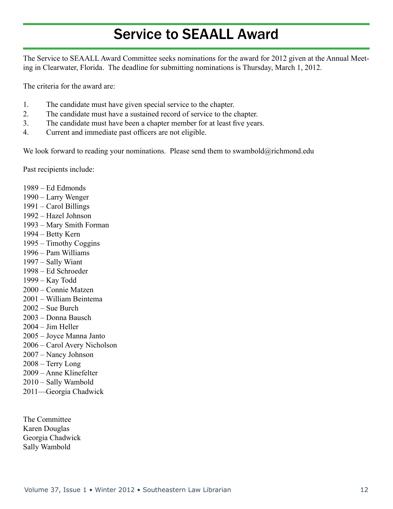# Service to SEAALL Award

The Service to SEAALL Award Committee seeks nominations for the award for 2012 given at the Annual Meeting in Clearwater, Florida. The deadline for submitting nominations is Thursday, March 1, 2012.

The criteria for the award are:

- 1. The candidate must have given special service to the chapter.
- 2. The candidate must have a sustained record of service to the chapter.
- 3. The candidate must have been a chapter member for at least five years.
- 4. Current and immediate past officers are not eligible.

We look forward to reading your nominations. Please send them to swambold@richmond.edu

Past recipients include:

1989 – Ed Edmonds 1990 – Larry Wenger 1991 – Carol Billings 1992 – Hazel Johnson 1993 – Mary Smith Forman 1994 – Betty Kern 1995 – Timothy Coggins 1996 – Pam Williams 1997 – Sally Wiant 1998 – Ed Schroeder 1999 – Kay Todd 2000 – Connie Matzen 2001 – William Beintema 2002 – Sue Burch 2003 – Donna Bausch 2004 – Jim Heller

- 2005 Joyce Manna Janto
- 2006 Carol Avery Nicholson
- 2007 Nancy Johnson
- 2008 Terry Long
- 2009 Anne Klinefelter
- 2010 Sally Wambold
- 2011—Georgia Chadwick

The Committee Karen Douglas Georgia Chadwick Sally Wambold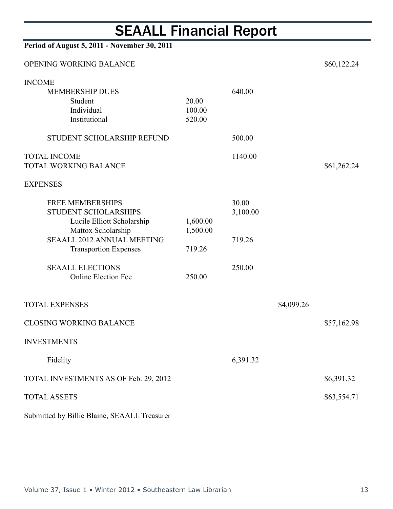# SEAALL Financial Report

| Period of August 5, 2011 - November 30, 2011                                      |                           |                   |            |             |
|-----------------------------------------------------------------------------------|---------------------------|-------------------|------------|-------------|
| OPENING WORKING BALANCE                                                           |                           |                   |            | \$60,122.24 |
| <b>INCOME</b><br><b>MEMBERSHIP DUES</b><br>Student<br>Individual<br>Institutional | 20.00<br>100.00<br>520.00 | 640.00            |            |             |
| STUDENT SCHOLARSHIP REFUND                                                        |                           | 500.00            |            |             |
| <b>TOTAL INCOME</b><br><b>TOTAL WORKING BALANCE</b>                               |                           | 1140.00           |            | \$61,262.24 |
| <b>EXPENSES</b>                                                                   |                           |                   |            |             |
| <b>FREE MEMBERSHIPS</b><br>STUDENT SCHOLARSHIPS<br>Lucile Elliott Scholarship     | 1,600.00                  | 30.00<br>3,100.00 |            |             |
| Mattox Scholarship<br><b>SEAALL 2012 ANNUAL MEETING</b>                           | 1,500.00                  | 719.26            |            |             |
| <b>Transportion Expenses</b>                                                      | 719.26                    |                   |            |             |
| <b>SEAALL ELECTIONS</b><br><b>Online Election Fee</b>                             | 250.00                    | 250.00            |            |             |
| <b>TOTAL EXPENSES</b>                                                             |                           |                   | \$4,099.26 |             |
| <b>CLOSING WORKING BALANCE</b>                                                    |                           |                   |            | \$57,162.98 |
| <b>INVESTMENTS</b>                                                                |                           |                   |            |             |
| Fidelity                                                                          |                           | 6,391.32          |            |             |
| TOTAL INVESTMENTS AS OF Feb. 29, 2012                                             |                           |                   |            | \$6,391.32  |
| <b>TOTAL ASSETS</b>                                                               |                           |                   |            | \$63,554.71 |
|                                                                                   |                           |                   |            |             |

Submitted by Billie Blaine, SEAALL Treasurer